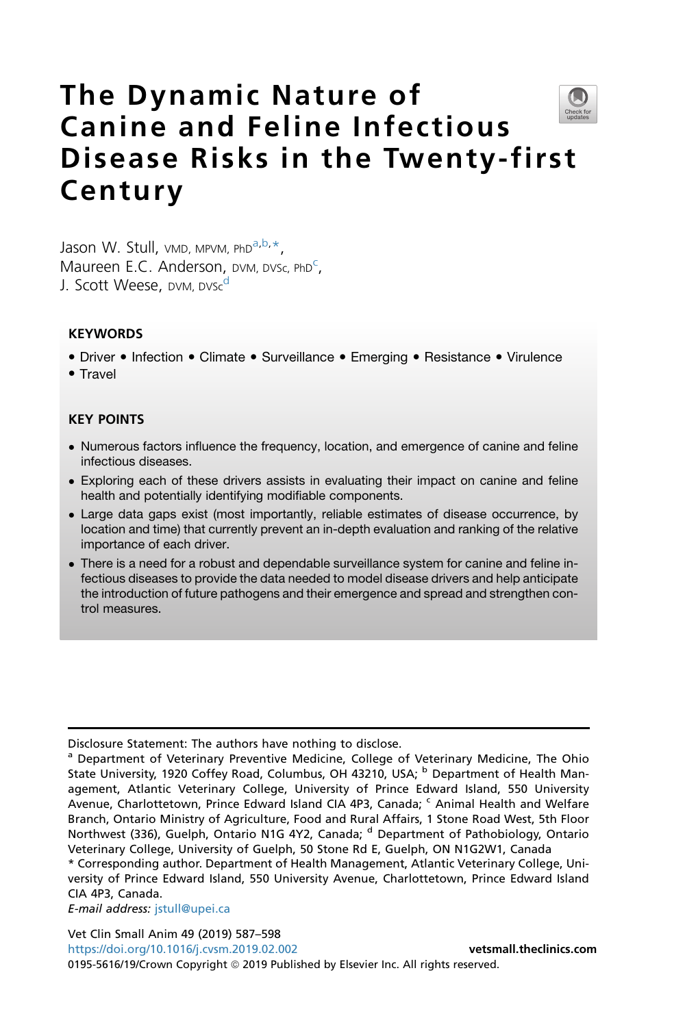

# The Dynamic Nature of Canine and Feline Infectious Disease Risks in the Twenty-first Century

Jason W. Stull, vmp. mpvm. php<sup>a,b,\*</sup>, Maureen E.C. Anderson, DVM, DVSc, PhD<sup>c</sup>, J. Scott Weese, DVM, DVSc<sup>d</sup>

### **KEYWORDS**

• Driver • Infection • Climate • Surveillance • Emerging • Resistance • Virulence

• Travel

## KEY POINTS

- Numerous factors influence the frequency, location, and emergence of canine and feline infectious diseases.
- Exploring each of these drivers assists in evaluating their impact on canine and feline health and potentially identifying modifiable components.
- Large data gaps exist (most importantly, reliable estimates of disease occurrence, by location and time) that currently prevent an in-depth evaluation and ranking of the relative importance of each driver.
- There is a need for a robust and dependable surveillance system for canine and feline infectious diseases to provide the data needed to model disease drivers and help anticipate the introduction of future pathogens and their emergence and spread and strengthen control measures.

Disclosure Statement: The authors have nothing to disclose.

\* Corresponding author. Department of Health Management, Atlantic Veterinary College, University of Prince Edward Island, 550 University Avenue, Charlottetown, Prince Edward Island CIA 4P3, Canada.

E-mail address: [jstull@upei.ca](mailto:jstull@upei.ca)

Vet Clin Small Anim 49 (2019) 587–598 <https://doi.org/10.1016/j.cvsm.2019.02.002> [vetsmall.theclinics.com](http://vetsmall.theclinics.com) 0195-5616/19/Crown Copyright @ 2019 Published by Elsevier Inc. All rights reserved.

<sup>&</sup>lt;sup>a</sup> Department of Veterinary Preventive Medicine, College of Veterinary Medicine, The Ohio State University, 1920 Coffey Road, Columbus, OH 43210, USA; <sup>b</sup> Department of Health Management, Atlantic Veterinary College, University of Prince Edward Island, 550 University Avenue, Charlottetown, Prince Edward Island CIA 4P3, Canada; <sup>c</sup> Animal Health and Welfare Branch, Ontario Ministry of Agriculture, Food and Rural Affairs, 1 Stone Road West, 5th Floor Northwest (336), Guelph, Ontario N1G 4Y2, Canada; <sup>d</sup> Department of Pathobiology, Ontario Veterinary College, University of Guelph, 50 Stone Rd E, Guelph, ON N1G2W1, Canada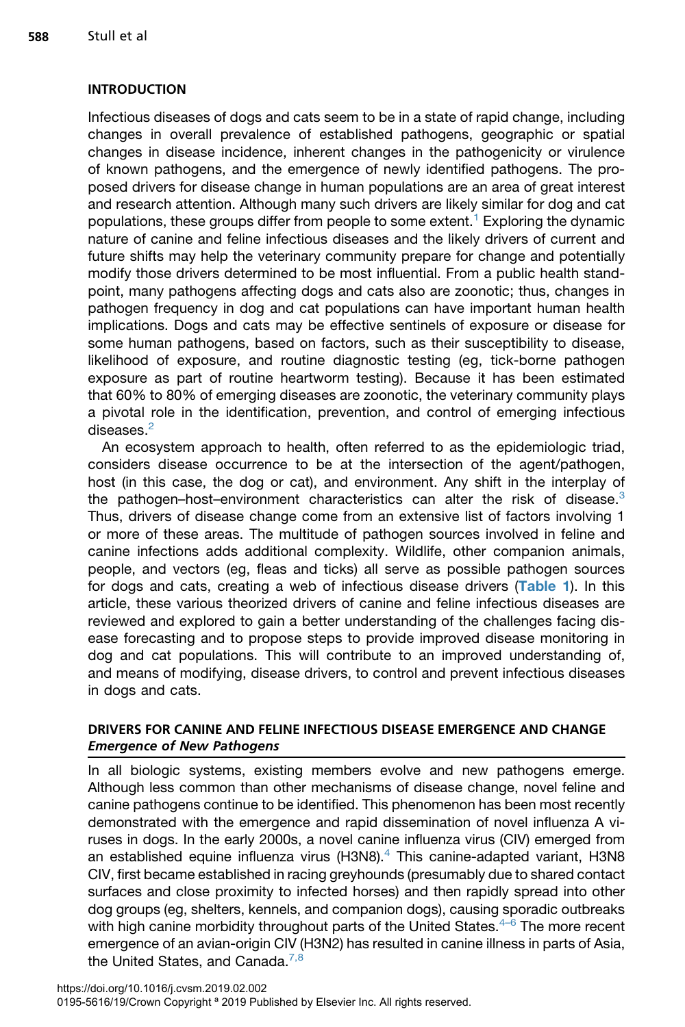### INTRODUCTION

Infectious diseases of dogs and cats seem to be in a state of rapid change, including changes in overall prevalence of established pathogens, geographic or spatial changes in disease incidence, inherent changes in the pathogenicity or virulence of known pathogens, and the emergence of newly identified pathogens. The proposed drivers for disease change in human populations are an area of great interest and research attention. Although many such drivers are likely similar for dog and cat populations, these groups differ from people to some extent.<sup>[1](#page-8-0)</sup> Exploring the dynamic nature of canine and feline infectious diseases and the likely drivers of current and future shifts may help the veterinary community prepare for change and potentially modify those drivers determined to be most influential. From a public health standpoint, many pathogens affecting dogs and cats also are zoonotic; thus, changes in pathogen frequency in dog and cat populations can have important human health implications. Dogs and cats may be effective sentinels of exposure or disease for some human pathogens, based on factors, such as their susceptibility to disease, likelihood of exposure, and routine diagnostic testing (eg, tick-borne pathogen exposure as part of routine heartworm testing). Because it has been estimated that 60% to 80% of emerging diseases are zoonotic, the veterinary community plays a pivotal role in the identification, prevention, and control of emerging infectious diseases.<sup>[2](#page-8-0)</sup>

An ecosystem approach to health, often referred to as the epidemiologic triad, considers disease occurrence to be at the intersection of the agent/pathogen, host (in this case, the dog or cat), and environment. Any shift in the interplay of the pathogen–host–environment characteristics can alter the risk of disease. $3$ Thus, drivers of disease change come from an extensive list of factors involving 1 or more of these areas. The multitude of pathogen sources involved in feline and canine infections adds additional complexity. Wildlife, other companion animals, people, and vectors (eg, fleas and ticks) all serve as possible pathogen sources for dogs and cats, creating a web of infectious disease drivers ([Table 1](#page-2-0)). In this article, these various theorized drivers of canine and feline infectious diseases are reviewed and explored to gain a better understanding of the challenges facing disease forecasting and to propose steps to provide improved disease monitoring in dog and cat populations. This will contribute to an improved understanding of, and means of modifying, disease drivers, to control and prevent infectious diseases in dogs and cats.

### DRIVERS FOR CANINE AND FELINE INFECTIOUS DISEASE EMERGENCE AND CHANGE Emergence of New Pathogens

In all biologic systems, existing members evolve and new pathogens emerge. Although less common than other mechanisms of disease change, novel feline and canine pathogens continue to be identified. This phenomenon has been most recently demonstrated with the emergence and rapid dissemination of novel influenza A viruses in dogs. In the early 2000s, a novel canine influenza virus (CIV) emerged from an established equine influenza virus (H3N8).<sup>4</sup> This canine-adapted variant, H3N8 CIV, first became established in racing greyhounds (presumably due to shared contact surfaces and close proximity to infected horses) and then rapidly spread into other dog groups (eg, shelters, kennels, and companion dogs), causing sporadic outbreaks with high canine morbidity throughout parts of the United States. $4-6$  The more recent emergence of an avian-origin CIV (H3N2) has resulted in canine illness in parts of Asia, the United States, and Canada.<sup>[7,8](#page-9-0)</sup>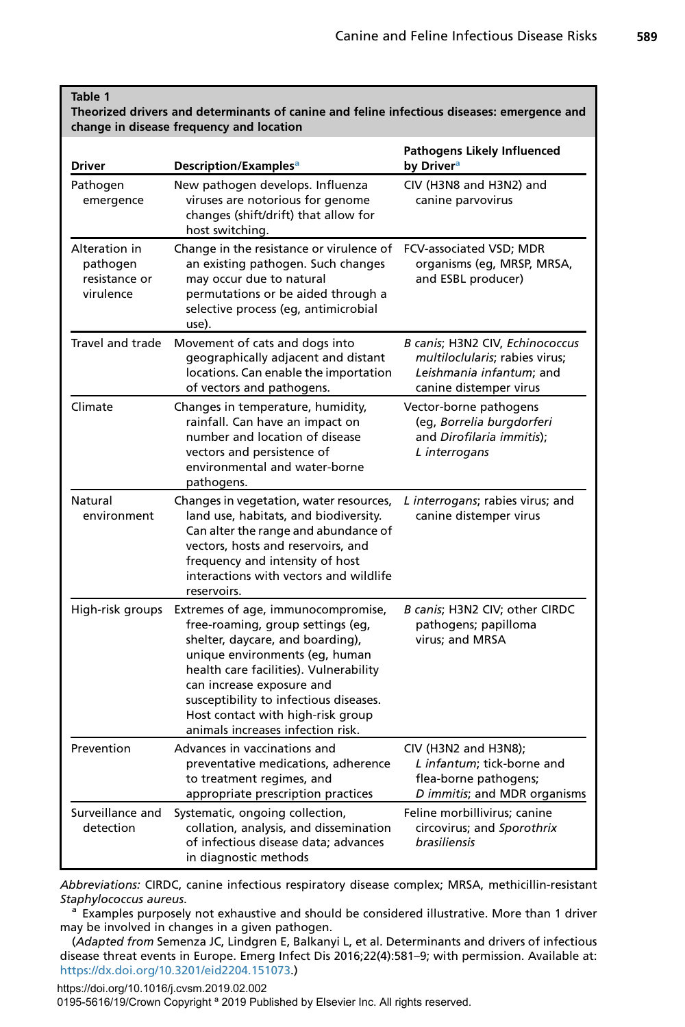#### <span id="page-2-0"></span>Table 1

#### Theorized drivers and determinants of canine and feline infectious diseases: emergence and change in disease frequency and location

| Driver                                                  | Description/Examples <sup>a</sup>                                                                                                                                                                                                                                                                                                        | <b>Pathogens Likely Influenced</b><br>by Driver <sup>a</sup>                                                            |
|---------------------------------------------------------|------------------------------------------------------------------------------------------------------------------------------------------------------------------------------------------------------------------------------------------------------------------------------------------------------------------------------------------|-------------------------------------------------------------------------------------------------------------------------|
| Pathogen<br>emergence                                   | New pathogen develops. Influenza<br>viruses are notorious for genome<br>changes (shift/drift) that allow for<br>host switching.                                                                                                                                                                                                          | CIV (H3N8 and H3N2) and<br>canine parvovirus                                                                            |
| Alteration in<br>pathogen<br>resistance or<br>virulence | Change in the resistance or virulence of<br>an existing pathogen. Such changes<br>may occur due to natural<br>permutations or be aided through a<br>selective process (eg, antimicrobial<br>use).                                                                                                                                        | FCV-associated VSD; MDR<br>organisms (eg, MRSP, MRSA,<br>and ESBL producer)                                             |
| Travel and trade                                        | Movement of cats and dogs into<br>geographically adjacent and distant<br>locations. Can enable the importation<br>of vectors and pathogens.                                                                                                                                                                                              | B canis; H3N2 CIV, Echinococcus<br>multiloclularis; rabies virus;<br>Leishmania infantum; and<br>canine distemper virus |
| Climate                                                 | Changes in temperature, humidity,<br>rainfall. Can have an impact on<br>number and location of disease<br>vectors and persistence of<br>environmental and water-borne<br>pathogens.                                                                                                                                                      | Vector-borne pathogens<br>(eg, Borrelia burgdorferi<br>and Dirofilaria immitis):<br>L interrogans                       |
| Natural<br>environment                                  | Changes in vegetation, water resources,<br>land use, habitats, and biodiversity.<br>Can alter the range and abundance of<br>vectors, hosts and reservoirs, and<br>frequency and intensity of host<br>interactions with vectors and wildlife<br>reservoirs.                                                                               | L interrogans; rabies virus; and<br>canine distemper virus                                                              |
| High-risk groups                                        | Extremes of age, immunocompromise,<br>free-roaming, group settings (eg,<br>shelter, daycare, and boarding),<br>unique environments (eg, human<br>health care facilities). Vulnerability<br>can increase exposure and<br>susceptibility to infectious diseases.<br>Host contact with high-risk group<br>animals increases infection risk. | B canis; H3N2 CIV; other CIRDC<br>pathogens; papilloma<br>virus: and MRSA                                               |
| Prevention                                              | Advances in vaccinations and<br>preventative medications, adherence<br>to treatment regimes, and<br>appropriate prescription practices                                                                                                                                                                                                   | CIV (H3N2 and H3N8);<br>L infantum; tick-borne and<br>flea-borne pathogens;<br>D immitis; and MDR organisms             |
| Surveillance and<br>detection                           | Systematic, ongoing collection,<br>collation, analysis, and dissemination<br>of infectious disease data: advances<br>in diagnostic methods                                                                                                                                                                                               | Feline morbillivirus; canine<br>circovirus; and Sporothrix<br>brasiliensis                                              |

Abbreviations: CIRDC, canine infectious respiratory disease complex; MRSA, methicillin-resistant Staphylococcus aureus.<br>a Examples purposely not exhaustive and should be considered illustrative. More than 1 driver

may be involved in changes in a given pathogen.

(Adapted from Semenza JC, Lindgren E, Balkanyi L, et al. Determinants and drivers of infectious disease threat events in Europe. Emerg Infect Dis 2016;22(4):581–9; with permission. Available at: <https://dx.doi.org/10.3201/eid2204.151073>.)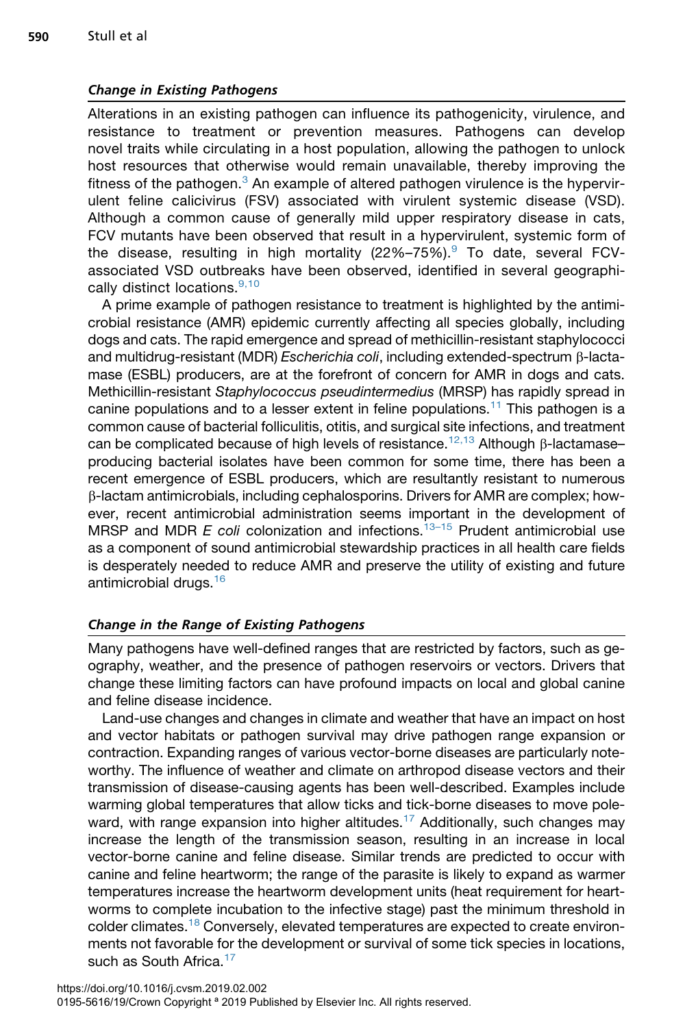# Change in Existing Pathogens

Alterations in an existing pathogen can influence its pathogenicity, virulence, and resistance to treatment or prevention measures. Pathogens can develop novel traits while circulating in a host population, allowing the pathogen to unlock host resources that otherwise would remain unavailable, thereby improving the fitness of the pathogen. $3$  An example of altered pathogen virulence is the hypervirulent feline calicivirus (FSV) associated with virulent systemic disease (VSD). Although a common cause of generally mild upper respiratory disease in cats, FCV mutants have been observed that result in a hypervirulent, systemic form of the disease, resulting in high mortality  $(22\% - 75\%)$ . To date, several FCVassociated VSD outbreaks have been observed, identified in several geographi-cally distinct locations.<sup>[9,10](#page-9-0)</sup>

A prime example of pathogen resistance to treatment is highlighted by the antimicrobial resistance (AMR) epidemic currently affecting all species globally, including dogs and cats. The rapid emergence and spread of methicillin-resistant staphylococci and multidrug-resistant (MDR) *Escherichia coli*, including extended-spectrum b-lactamase (ESBL) producers, are at the forefront of concern for AMR in dogs and cats. Methicillin-resistant *Staphylococcus pseudintermedius* (MRSP) has rapidly spread in canine populations and to a lesser extent in feline populations.<sup>[11](#page-9-0)</sup> This pathogen is a common cause of bacterial folliculitis, otitis, and surgical site infections, and treatment can be complicated because of high levels of resistance.<sup>[12,13](#page-9-0)</sup> Although  $\beta$ -lactamase– producing bacterial isolates have been common for some time, there has been a recent emergence of ESBL producers, which are resultantly resistant to numerous b-lactam antimicrobials, including cephalosporins. Drivers for AMR are complex; however, recent antimicrobial administration seems important in the development of MRSP and MDR *E coli* colonization and infections.<sup>13-15</sup> Prudent antimicrobial use as a component of sound antimicrobial stewardship practices in all health care fields is desperately needed to reduce AMR and preserve the utility of existing and future antimicrobial drugs.[16](#page-9-0)

# <u>Change in the Range of Existing Pathogens</u>

Many pathogens have well-defined ranges that are restricted by factors, such as geography, weather, and the presence of pathogen reservoirs or vectors. Drivers that change these limiting factors can have profound impacts on local and global canine and feline disease incidence.

Land-use changes and changes in climate and weather that have an impact on host and vector habitats or pathogen survival may drive pathogen range expansion or contraction. Expanding ranges of various vector-borne diseases are particularly noteworthy. The influence of weather and climate on arthropod disease vectors and their transmission of disease-causing agents has been well-described. Examples include warming global temperatures that allow ticks and tick-borne diseases to move pole-ward, with range expansion into higher altitudes.<sup>[17](#page-9-0)</sup> Additionally, such changes may increase the length of the transmission season, resulting in an increase in local vector-borne canine and feline disease. Similar trends are predicted to occur with canine and feline heartworm; the range of the parasite is likely to expand as warmer temperatures increase the heartworm development units (heat requirement for heartworms to complete incubation to the infective stage) past the minimum threshold in colder climates.[18](#page-9-0) Conversely, elevated temperatures are expected to create environments not favorable for the development or survival of some tick species in locations, such as South Africa.<sup>[17](#page-9-0)</sup>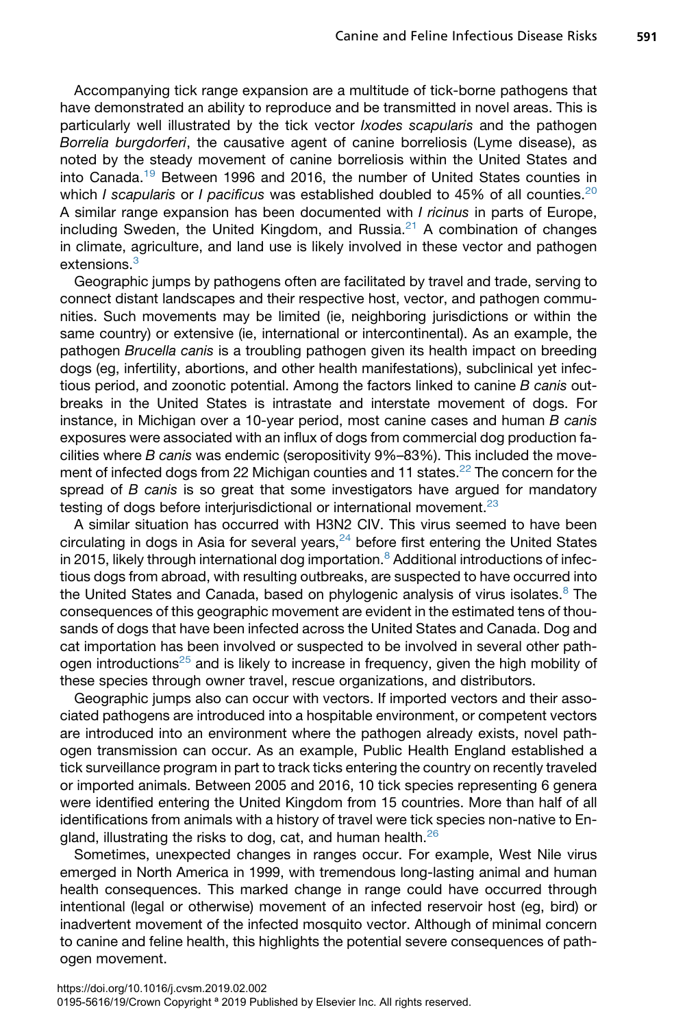Accompanying tick range expansion are a multitude of tick-borne pathogens that have demonstrated an ability to reproduce and be transmitted in novel areas. This is particularly well illustrated by the tick vector *Ixodes scapularis* and the pathogen *Borrelia burgdorferi*, the causative agent of canine borreliosis (Lyme disease), as noted by the steady movement of canine borreliosis within the United States and into Canada.<sup>[19](#page-9-0)</sup> Between 1996 and 2016, the number of United States counties in which *I scapularis* or *I pacificus* was established doubled to 45% of all counties.<sup>[20](#page-9-0)</sup> A similar range expansion has been documented with *I ricinus* in parts of Europe, including Sweden, the United Kingdom, and Russia. $^{21}$  $^{21}$  $^{21}$  A combination of changes in climate, agriculture, and land use is likely involved in these vector and pathogen extensions.<sup>[3](#page-8-0)</sup>

Geographic jumps by pathogens often are facilitated by travel and trade, serving to connect distant landscapes and their respective host, vector, and pathogen communities. Such movements may be limited (ie, neighboring jurisdictions or within the same country) or extensive (ie, international or intercontinental). As an example, the pathogen *Brucella canis* is a troubling pathogen given its health impact on breeding dogs (eg, infertility, abortions, and other health manifestations), subclinical yet infectious period, and zoonotic potential. Among the factors linked to canine *B canis* outbreaks in the United States is intrastate and interstate movement of dogs. For instance, in Michigan over a 10-year period, most canine cases and human *B canis* exposures were associated with an influx of dogs from commercial dog production facilities where *B canis* was endemic (seropositivity 9%–83%). This included the move-ment of infected dogs from [22](#page-9-0) Michigan counties and 11 states. $^{22}$  The concern for the spread of *B canis* is so great that some investigators have argued for mandatory testing of dogs before interjurisdictional or international movement. $23$ 

A similar situation has occurred with H3N2 CIV. This virus seemed to have been circulating in dogs in Asia for several years, $^{24}$  $^{24}$  $^{24}$  before first entering the United States in 2015, likely through international dog importation. $8$  Additional introductions of infectious dogs from abroad, with resulting outbreaks, are suspected to have occurred into the United States and Canada, based on phylogenic analysis of virus isolates. $8$  The consequences of this geographic movement are evident in the estimated tens of thousands of dogs that have been infected across the United States and Canada. Dog and cat importation has been involved or suspected to be involved in several other path-ogen introductions<sup>[25](#page-9-0)</sup> and is likely to increase in frequency, given the high mobility of these species through owner travel, rescue organizations, and distributors.

Geographic jumps also can occur with vectors. If imported vectors and their associated pathogens are introduced into a hospitable environment, or competent vectors are introduced into an environment where the pathogen already exists, novel pathogen transmission can occur. As an example, Public Health England established a tick surveillance program in part to track ticks entering the country on recently traveled or imported animals. Between 2005 and 2016, 10 tick species representing 6 genera were identified entering the United Kingdom from 15 countries. More than half of all identifications from animals with a history of travel were tick species non-native to England, illustrating the risks to dog, cat, and human health. $26$ 

Sometimes, unexpected changes in ranges occur. For example, West Nile virus emerged in North America in 1999, with tremendous long-lasting animal and human health consequences. This marked change in range could have occurred through intentional (legal or otherwise) movement of an infected reservoir host (eg, bird) or inadvertent movement of the infected mosquito vector. Although of minimal concern to canine and feline health, this highlights the potential severe consequences of pathogen movement.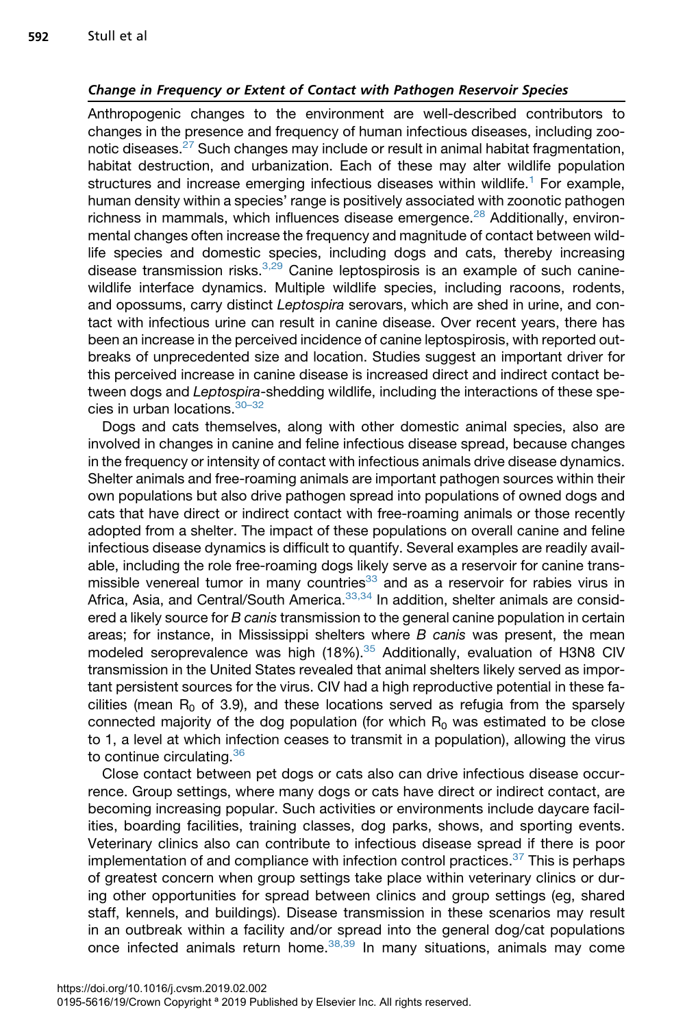## Change in Frequency or Extent of Contact with Pathogen Reservoir Species

Anthropogenic changes to the environment are well-described contributors to changes in the presence and frequency of human infectious diseases, including zoonotic diseases.[27](#page-10-0) Such changes may include or result in animal habitat fragmentation, habitat destruction, and urbanization. Each of these may alter wildlife population structures and increase emerging infectious diseases within wildlife.<sup>[1](#page-8-0)</sup> For example, human density within a species' range is positively associated with zoonotic pathogen richness in mammals, which influences disease emergence.<sup>[28](#page-10-0)</sup> Additionally, environmental changes often increase the frequency and magnitude of contact between wildlife species and domestic species, including dogs and cats, thereby increasing disease transmission risks. $3,29$  Canine leptospirosis is an example of such caninewildlife interface dynamics. Multiple wildlife species, including racoons, rodents, and opossums, carry distinct *Leptospira* serovars, which are shed in urine, and contact with infectious urine can result in canine disease. Over recent years, there has been an increase in the perceived incidence of canine leptospirosis, with reported outbreaks of unprecedented size and location. Studies suggest an important driver for this perceived increase in canine disease is increased direct and indirect contact between dogs and *Leptospira*-shedding wildlife, including the interactions of these species in urban locations.[30–32](#page-10-0)

Dogs and cats themselves, along with other domestic animal species, also are involved in changes in canine and feline infectious disease spread, because changes in the frequency or intensity of contact with infectious animals drive disease dynamics. Shelter animals and free-roaming animals are important pathogen sources within their own populations but also drive pathogen spread into populations of owned dogs and cats that have direct or indirect contact with free-roaming animals or those recently adopted from a shelter. The impact of these populations on overall canine and feline infectious disease dynamics is difficult to quantify. Several examples are readily available, including the role free-roaming dogs likely serve as a reservoir for canine transmissible venereal tumor in many countries $33$  and as a reservoir for rabies virus in Africa, Asia, and Central/South America.<sup>[33,34](#page-10-0)</sup> In addition, shelter animals are considered a likely source for *B canis* transmission to the general canine population in certain areas; for instance, in Mississippi shelters where *B canis* was present, the mean modeled seroprevalence was high  $(18\%)$ .<sup>[35](#page-10-0)</sup> Additionally, evaluation of H3N8 CIV transmission in the United States revealed that animal shelters likely served as important persistent sources for the virus. CIV had a high reproductive potential in these facilities (mean  $R_0$  of 3.9), and these locations served as refugia from the sparsely connected majority of the dog population (for which  $R_0$  was estimated to be close to 1, a level at which infection ceases to transmit in a population), allowing the virus to continue circulating.<sup>[36](#page-10-0)</sup>

Close contact between pet dogs or cats also can drive infectious disease occurrence. Group settings, where many dogs or cats have direct or indirect contact, are becoming increasing popular. Such activities or environments include daycare facilities, boarding facilities, training classes, dog parks, shows, and sporting events. Veterinary clinics also can contribute to infectious disease spread if there is poor implementation of and compliance with infection control practices. $37$  This is perhaps of greatest concern when group settings take place within veterinary clinics or during other opportunities for spread between clinics and group settings (eg, shared staff, kennels, and buildings). Disease transmission in these scenarios may result in an outbreak within a facility and/or spread into the general dog/cat populations once infected animals return home. $38,39$  In many situations, animals may come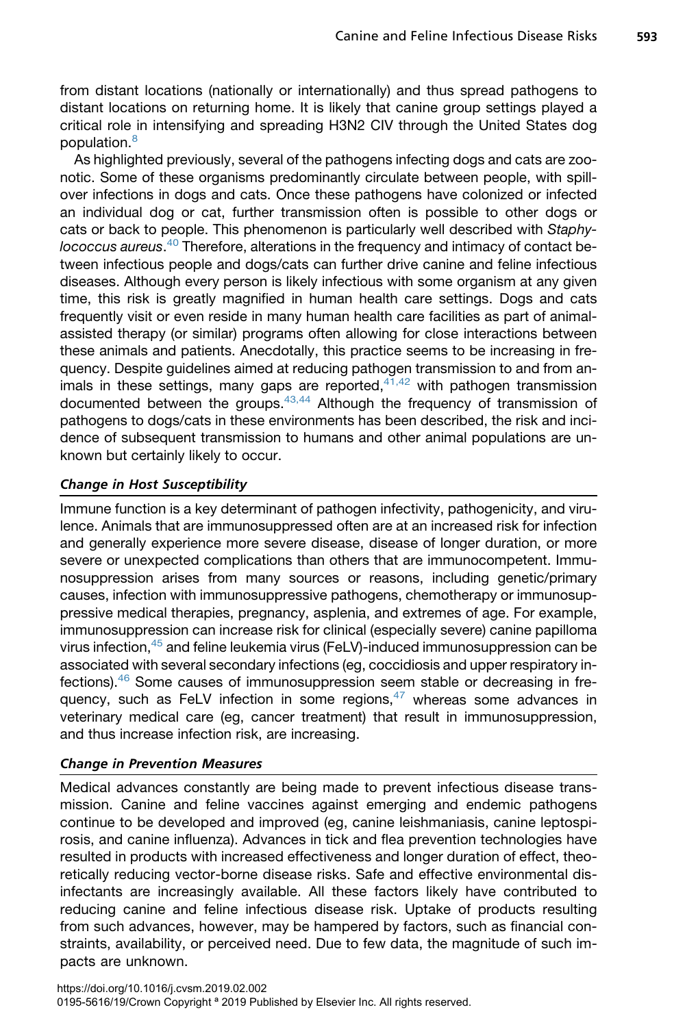from distant locations (nationally or internationally) and thus spread pathogens to distant locations on returning home. It is likely that canine group settings played a critical role in intensifying and spreading H3N2 CIV through the United States dog population.[8](#page-9-0)

As highlighted previously, several of the pathogens infecting dogs and cats are zoonotic. Some of these organisms predominantly circulate between people, with spillover infections in dogs and cats. Once these pathogens have colonized or infected an individual dog or cat, further transmission often is possible to other dogs or cats or back to people. This phenomenon is particularly well described with *Staphylococcus aureus*. [40](#page-10-0) Therefore, alterations in the frequency and intimacy of contact between infectious people and dogs/cats can further drive canine and feline infectious diseases. Although every person is likely infectious with some organism at any given time, this risk is greatly magnified in human health care settings. Dogs and cats frequently visit or even reside in many human health care facilities as part of animalassisted therapy (or similar) programs often allowing for close interactions between these animals and patients. Anecdotally, this practice seems to be increasing in frequency. Despite guidelines aimed at reducing pathogen transmission to and from animals in these settings, many gaps are reported, $41,42$  with pathogen transmission documented between the groups. $43,44$  Although the frequency of transmission of pathogens to dogs/cats in these environments has been described, the risk and incidence of subsequent transmission to humans and other animal populations are unknown but certainly likely to occur.

### Change in Host Susceptibility

Immune function is a key determinant of pathogen infectivity, pathogenicity, and virulence. Animals that are immunosuppressed often are at an increased risk for infection and generally experience more severe disease, disease of longer duration, or more severe or unexpected complications than others that are immunocompetent. Immunosuppression arises from many sources or reasons, including genetic/primary causes, infection with immunosuppressive pathogens, chemotherapy or immunosuppressive medical therapies, pregnancy, asplenia, and extremes of age. For example, immunosuppression can increase risk for clinical (especially severe) canine papilloma virus infection,<sup>[45](#page-10-0)</sup> and feline leukemia virus (FeLV)-induced immunosuppression can be associated with several secondary infections (eg, coccidiosis and upper respiratory in-fections).<sup>[46](#page-11-0)</sup> Some causes of immunosuppression seem stable or decreasing in frequency, such as FeLV infection in some regions, $47$  whereas some advances in veterinary medical care (eg, cancer treatment) that result in immunosuppression, and thus increase infection risk, are increasing.

# <u>change in Prevention Measures</u>

Medical advances constantly are being made to prevent infectious disease transmission. Canine and feline vaccines against emerging and endemic pathogens continue to be developed and improved (eg, canine leishmaniasis, canine leptospirosis, and canine influenza). Advances in tick and flea prevention technologies have resulted in products with increased effectiveness and longer duration of effect, theoretically reducing vector-borne disease risks. Safe and effective environmental disinfectants are increasingly available. All these factors likely have contributed to reducing canine and feline infectious disease risk. Uptake of products resulting from such advances, however, may be hampered by factors, such as financial constraints, availability, or perceived need. Due to few data, the magnitude of such impacts are unknown.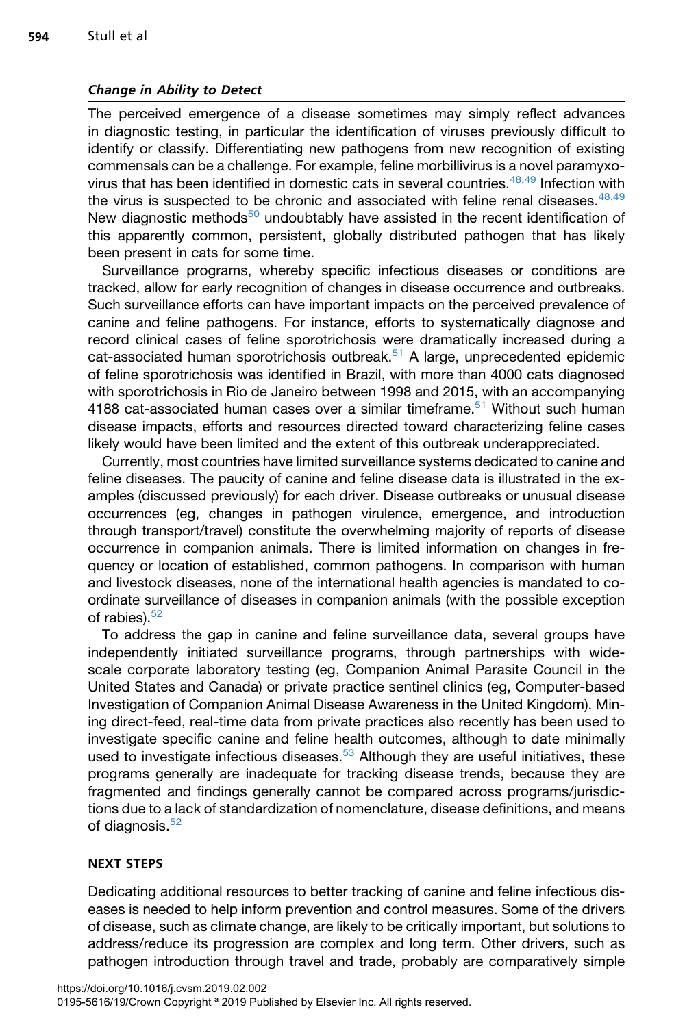### Change in Ability to Detect

The perceived emergence of a disease sometimes may simply reflect advances in diagnostic testing, in particular the identification of viruses previously difficult to identify or classify. Differentiating new pathogens from new recognition of existing commensals can be a challenge. For example, feline morbillivirus is a novel paramyxo-virus that has been identified in domestic cats in several countries.<sup>[48,49](#page-11-0)</sup> Infection with the virus is suspected to be chronic and associated with feline renal diseases.  $48,49$ New diagnostic methods $50$  undoubtably have assisted in the recent identification of this apparently common, persistent, globally distributed pathogen that has likely been present in cats for some time.

Surveillance programs, whereby specific infectious diseases or conditions are tracked, allow for early recognition of changes in disease occurrence and outbreaks. Such surveillance efforts can have important impacts on the perceived prevalence of canine and feline pathogens. For instance, efforts to systematically diagnose and record clinical cases of feline sporotrichosis were dramatically increased during a cat-associated human sporotrichosis outbreak.<sup>[51](#page-11-0)</sup> A large, unprecedented epidemic of feline sporotrichosis was identified in Brazil, with more than 4000 cats diagnosed with sporotrichosis in Rio de Janeiro between 1998 and 2015, with an accompanying 4188 cat-associated human cases over a similar timeframe.<sup>[51](#page-11-0)</sup> Without such human disease impacts, efforts and resources directed toward characterizing feline cases likely would have been limited and the extent of this outbreak underappreciated.

Currently, most countries have limited surveillance systems dedicated to canine and feline diseases. The paucity of canine and feline disease data is illustrated in the examples (discussed previously) for each driver. Disease outbreaks or unusual disease occurrences (eg, changes in pathogen virulence, emergence, and introduction through transport/travel) constitute the overwhelming majority of reports of disease occurrence in companion animals. There is limited information on changes in frequency or location of established, common pathogens. In comparison with human and livestock diseases, none of the international health agencies is mandated to coordinate surveillance of diseases in companion animals (with the possible exception of rabies).<sup>[52](#page-11-0)</sup>

To address the gap in canine and feline surveillance data, several groups have independently initiated surveillance programs, through partnerships with widescale corporate laboratory testing (eg, Companion Animal Parasite Council in the United States and Canada) or private practice sentinel clinics (eg, Computer-based Investigation of Companion Animal Disease Awareness in the United Kingdom). Mining direct-feed, real-time data from private practices also recently has been used to investigate specific canine and feline health outcomes, although to date minimally used to investigate infectious diseases. $53$  Although they are useful initiatives, these programs generally are inadequate for tracking disease trends, because they are fragmented and findings generally cannot be compared across programs/jurisdictions due to a lack of standardization of nomenclature, disease definitions, and means of diagnosis.<sup>[52](#page-11-0)</sup>

## NEXT STEPS

Dedicating additional resources to better tracking of canine and feline infectious diseases is needed to help inform prevention and control measures. Some of the drivers of disease, such as climate change, are likely to be critically important, but solutions to address/reduce its progression are complex and long term. Other drivers, such as pathogen introduction through travel and trade, probably are comparatively simple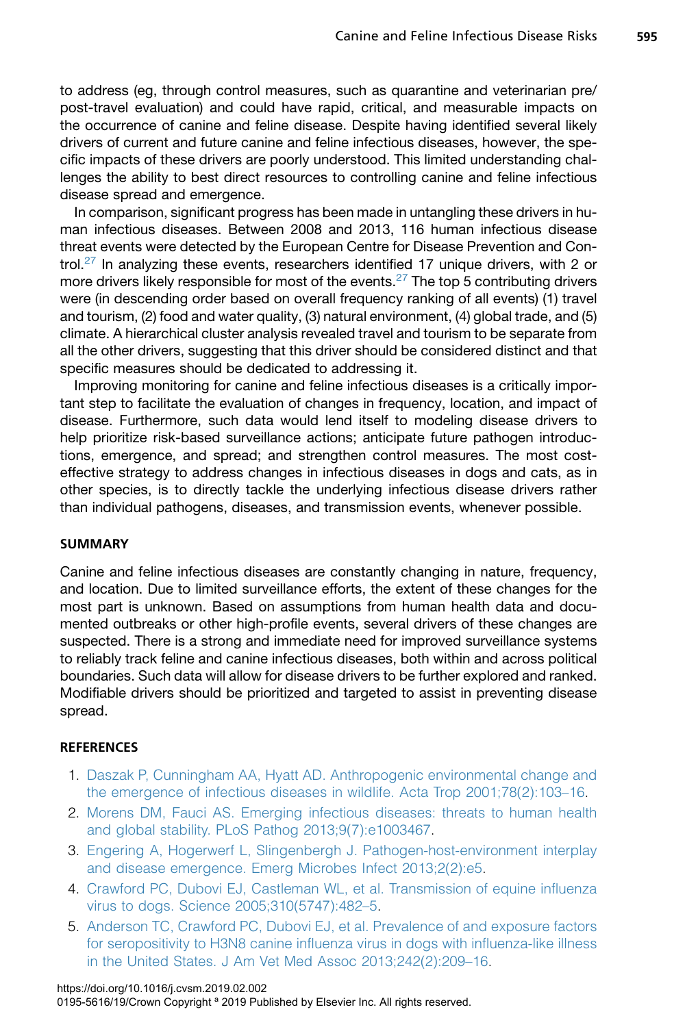<span id="page-8-0"></span>to address (eg, through control measures, such as quarantine and veterinarian pre/ post-travel evaluation) and could have rapid, critical, and measurable impacts on the occurrence of canine and feline disease. Despite having identified several likely drivers of current and future canine and feline infectious diseases, however, the specific impacts of these drivers are poorly understood. This limited understanding challenges the ability to best direct resources to controlling canine and feline infectious disease spread and emergence.

In comparison, significant progress has been made in untangling these drivers in human infectious diseases. Between 2008 and 2013, 116 human infectious disease threat events were detected by the European Centre for Disease Prevention and Control. $27$  In analyzing these events, researchers identified 17 unique drivers, with 2 or more drivers likely responsible for most of the events. $27$  The top 5 contributing drivers were (in descending order based on overall frequency ranking of all events) (1) travel and tourism, (2) food and water quality, (3) natural environment, (4) global trade, and (5) climate. A hierarchical cluster analysis revealed travel and tourism to be separate from all the other drivers, suggesting that this driver should be considered distinct and that specific measures should be dedicated to addressing it.

Improving monitoring for canine and feline infectious diseases is a critically important step to facilitate the evaluation of changes in frequency, location, and impact of disease. Furthermore, such data would lend itself to modeling disease drivers to help prioritize risk-based surveillance actions; anticipate future pathogen introductions, emergence, and spread; and strengthen control measures. The most costeffective strategy to address changes in infectious diseases in dogs and cats, as in other species, is to directly tackle the underlying infectious disease drivers rather than individual pathogens, diseases, and transmission events, whenever possible.

### SUMMARY

Canine and feline infectious diseases are constantly changing in nature, frequency, and location. Due to limited surveillance efforts, the extent of these changes for the most part is unknown. Based on assumptions from human health data and documented outbreaks or other high-profile events, several drivers of these changes are suspected. There is a strong and immediate need for improved surveillance systems to reliably track feline and canine infectious diseases, both within and across political boundaries. Such data will allow for disease drivers to be further explored and ranked. Modifiable drivers should be prioritized and targeted to assist in preventing disease spread.

### **REFERENCES**

- 1. [Daszak P, Cunningham AA, Hyatt AD. Anthropogenic environmental change and](http://refhub.elsevier.com/S0195-5616(19)30032-4/sref1) [the emergence of infectious diseases in wildlife. Acta Trop 2001;78\(2\):103–16.](http://refhub.elsevier.com/S0195-5616(19)30032-4/sref1)
- 2. [Morens DM, Fauci AS. Emerging infectious diseases: threats to human health](http://refhub.elsevier.com/S0195-5616(19)30032-4/sref2) [and global stability. PLoS Pathog 2013;9\(7\):e1003467.](http://refhub.elsevier.com/S0195-5616(19)30032-4/sref2)
- 3. [Engering A, Hogerwerf L, Slingenbergh J. Pathogen-host-environment interplay](http://refhub.elsevier.com/S0195-5616(19)30032-4/sref3) [and disease emergence. Emerg Microbes Infect 2013;2\(2\):e5](http://refhub.elsevier.com/S0195-5616(19)30032-4/sref3).
- 4. [Crawford PC, Dubovi EJ, Castleman WL, et al. Transmission of equine influenza](http://refhub.elsevier.com/S0195-5616(19)30032-4/sref4) [virus to dogs. Science 2005;310\(5747\):482–5.](http://refhub.elsevier.com/S0195-5616(19)30032-4/sref4)
- 5. [Anderson TC, Crawford PC, Dubovi EJ, et al. Prevalence of and exposure factors](http://refhub.elsevier.com/S0195-5616(19)30032-4/sref5) [for seropositivity to H3N8 canine influenza virus in dogs with influenza-like illness](http://refhub.elsevier.com/S0195-5616(19)30032-4/sref5) [in the United States. J Am Vet Med Assoc 2013;242\(2\):209–16.](http://refhub.elsevier.com/S0195-5616(19)30032-4/sref5)

<https://doi.org/10.1016/j.cvsm.2019.02.002> 0195-5616/19/Crown Copyright <sup>a</sup> 2019 Published by Elsevier Inc. All rights reserved.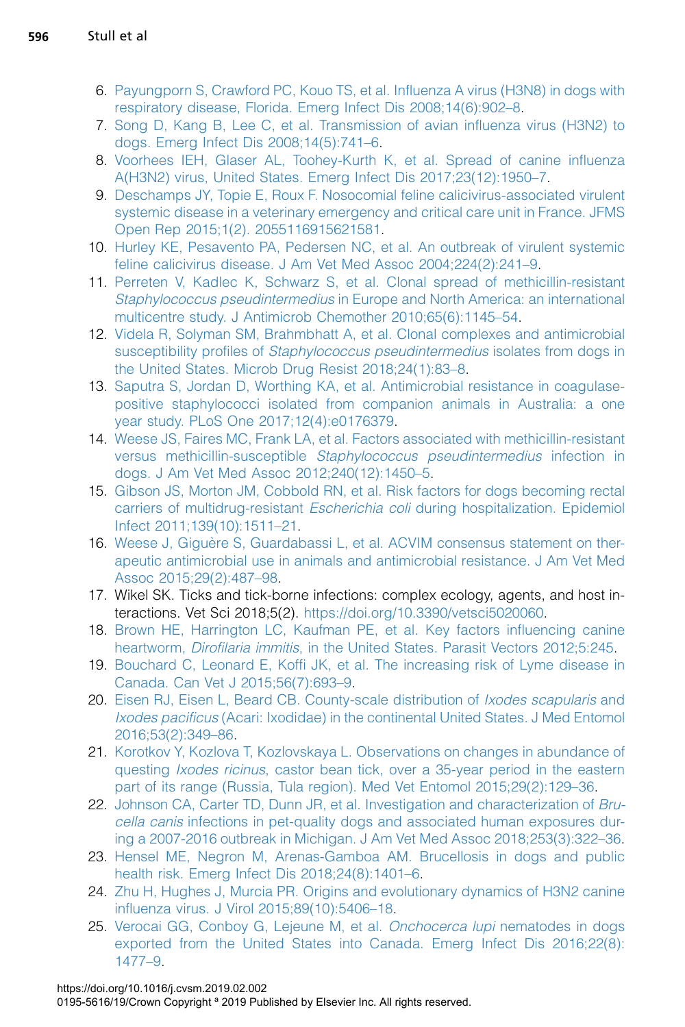- <span id="page-9-0"></span>6. [Payungporn S, Crawford PC, Kouo TS, et al. Influenza A virus \(H3N8\) in dogs with](http://refhub.elsevier.com/S0195-5616(19)30032-4/sref6) [respiratory disease, Florida. Emerg Infect Dis 2008;14\(6\):902–8](http://refhub.elsevier.com/S0195-5616(19)30032-4/sref6).
- 7. [Song D, Kang B, Lee C, et al. Transmission of avian influenza virus \(H3N2\) to](http://refhub.elsevier.com/S0195-5616(19)30032-4/sref7) [dogs. Emerg Infect Dis 2008;14\(5\):741–6.](http://refhub.elsevier.com/S0195-5616(19)30032-4/sref7)
- 8. [Voorhees IEH, Glaser AL, Toohey-Kurth K, et al. Spread of canine influenza](http://refhub.elsevier.com/S0195-5616(19)30032-4/sref8) [A\(H3N2\) virus, United States. Emerg Infect Dis 2017;23\(12\):1950–7.](http://refhub.elsevier.com/S0195-5616(19)30032-4/sref8)
- 9. [Deschamps JY, Topie E, Roux F. Nosocomial feline calicivirus-associated virulent](http://refhub.elsevier.com/S0195-5616(19)30032-4/sref9) [systemic disease in a veterinary emergency and critical care unit in France. JFMS](http://refhub.elsevier.com/S0195-5616(19)30032-4/sref9) [Open Rep 2015;1\(2\). 2055116915621581](http://refhub.elsevier.com/S0195-5616(19)30032-4/sref9).
- 10. [Hurley KE, Pesavento PA, Pedersen NC, et al. An outbreak of virulent systemic](http://refhub.elsevier.com/S0195-5616(19)30032-4/sref10) [feline calicivirus disease. J Am Vet Med Assoc 2004;224\(2\):241–9](http://refhub.elsevier.com/S0195-5616(19)30032-4/sref10).
- 11. [Perreten V, Kadlec K, Schwarz S, et al. Clonal spread of methicillin-resistant](http://refhub.elsevier.com/S0195-5616(19)30032-4/sref11) Staphylococcus pseudintermedius [in Europe and North America: an international](http://refhub.elsevier.com/S0195-5616(19)30032-4/sref11) [multicentre study. J Antimicrob Chemother 2010;65\(6\):1145–54.](http://refhub.elsevier.com/S0195-5616(19)30032-4/sref11)
- 12. [Videla R, Solyman SM, Brahmbhatt A, et al. Clonal complexes and antimicrobial](http://refhub.elsevier.com/S0195-5616(19)30032-4/sref12) susceptibility profiles of *[Staphylococcus pseudintermedius](http://refhub.elsevier.com/S0195-5616(19)30032-4/sref12)* isolates from dogs in [the United States. Microb Drug Resist 2018;24\(1\):83–8](http://refhub.elsevier.com/S0195-5616(19)30032-4/sref12).
- 13. [Saputra S, Jordan D, Worthing KA, et al. Antimicrobial resistance in coagulase](http://refhub.elsevier.com/S0195-5616(19)30032-4/sref13)[positive staphylococci isolated from companion animals in Australia: a one](http://refhub.elsevier.com/S0195-5616(19)30032-4/sref13) [year study. PLoS One 2017;12\(4\):e0176379](http://refhub.elsevier.com/S0195-5616(19)30032-4/sref13).
- 14. [Weese JS, Faires MC, Frank LA, et al. Factors associated with methicillin-resistant](http://refhub.elsevier.com/S0195-5616(19)30032-4/sref14) [versus methicillin-susceptible](http://refhub.elsevier.com/S0195-5616(19)30032-4/sref14) Staphylococcus pseudintermedius infection in [dogs. J Am Vet Med Assoc 2012;240\(12\):1450–5](http://refhub.elsevier.com/S0195-5616(19)30032-4/sref14).
- 15. [Gibson JS, Morton JM, Cobbold RN, et al. Risk factors for dogs becoming rectal](http://refhub.elsevier.com/S0195-5616(19)30032-4/sref15) carriers of multidrug-resistant Escherichia coli [during hospitalization. Epidemiol](http://refhub.elsevier.com/S0195-5616(19)30032-4/sref15) [Infect 2011;139\(10\):1511–21](http://refhub.elsevier.com/S0195-5616(19)30032-4/sref15).
- 16. Weese J, Giguère S, Guardabassi L, et al. ACVIM consensus statement on ther[apeutic antimicrobial use in animals and antimicrobial resistance. J Am Vet Med](http://refhub.elsevier.com/S0195-5616(19)30032-4/sref16) [Assoc 2015;29\(2\):487–98](http://refhub.elsevier.com/S0195-5616(19)30032-4/sref16).
- 17. Wikel SK. Ticks and tick-borne infections: complex ecology, agents, and host interactions. Vet Sci 2018;5(2). [https://doi.org/10.3390/vetsci5020060.](https://doi.org/10.3390/vetsci5020060)
- 18. [Brown HE, Harrington LC, Kaufman PE, et al. Key factors influencing canine](http://refhub.elsevier.com/S0195-5616(19)30032-4/sref18) heartworm, Dirofilaria immitis[, in the United States. Parasit Vectors 2012;5:245](http://refhub.elsevier.com/S0195-5616(19)30032-4/sref18).
- 19. [Bouchard C, Leonard E, Koffi JK, et al. The increasing risk of Lyme disease in](http://refhub.elsevier.com/S0195-5616(19)30032-4/sref19) [Canada. Can Vet J 2015;56\(7\):693–9.](http://refhub.elsevier.com/S0195-5616(19)30032-4/sref19)
- 20. [Eisen RJ, Eisen L, Beard CB. County-scale distribution of](http://refhub.elsevier.com/S0195-5616(19)30032-4/sref20) Ixodes scapularis and Ixodes pacificus [\(Acari: Ixodidae\) in the continental United States. J Med Entomol](http://refhub.elsevier.com/S0195-5616(19)30032-4/sref20) [2016;53\(2\):349–86](http://refhub.elsevier.com/S0195-5616(19)30032-4/sref20).
- 21. [Korotkov Y, Kozlova T, Kozlovskaya L. Observations on changes in abundance of](http://refhub.elsevier.com/S0195-5616(19)30032-4/sref21) questing Ixodes ricinus[, castor bean tick, over a 35-year period in the eastern](http://refhub.elsevier.com/S0195-5616(19)30032-4/sref21) [part of its range \(Russia, Tula region\). Med Vet Entomol 2015;29\(2\):129–36.](http://refhub.elsevier.com/S0195-5616(19)30032-4/sref21)
- 22. [Johnson CA, Carter TD, Dunn JR, et al. Investigation and characterization of](http://refhub.elsevier.com/S0195-5616(19)30032-4/sref22) Brucella canis [infections in pet-quality dogs and associated human exposures dur](http://refhub.elsevier.com/S0195-5616(19)30032-4/sref22)[ing a 2007-2016 outbreak in Michigan. J Am Vet Med Assoc 2018;253\(3\):322–36.](http://refhub.elsevier.com/S0195-5616(19)30032-4/sref22)
- 23. [Hensel ME, Negron M, Arenas-Gamboa AM. Brucellosis in dogs and public](http://refhub.elsevier.com/S0195-5616(19)30032-4/sref23) [health risk. Emerg Infect Dis 2018;24\(8\):1401–6.](http://refhub.elsevier.com/S0195-5616(19)30032-4/sref23)
- 24. [Zhu H, Hughes J, Murcia PR. Origins and evolutionary dynamics of H3N2 canine](http://refhub.elsevier.com/S0195-5616(19)30032-4/sref24) [influenza virus. J Virol 2015;89\(10\):5406–18.](http://refhub.elsevier.com/S0195-5616(19)30032-4/sref24)
- 25. [Verocai GG, Conboy G, Lejeune M, et al.](http://refhub.elsevier.com/S0195-5616(19)30032-4/sref25) *Onchocerca lupi* nematodes in dogs [exported from the United States into Canada. Emerg Infect Dis 2016;22\(8\):](http://refhub.elsevier.com/S0195-5616(19)30032-4/sref25) [1477–9.](http://refhub.elsevier.com/S0195-5616(19)30032-4/sref25)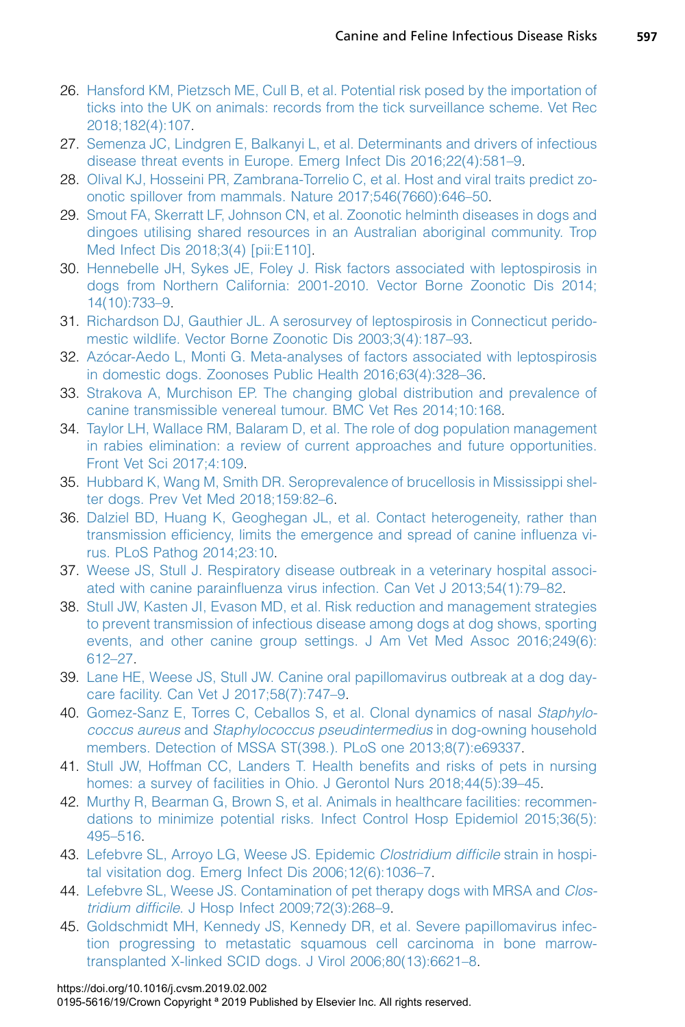- <span id="page-10-0"></span>26. [Hansford KM, Pietzsch ME, Cull B, et al. Potential risk posed by the importation of](http://refhub.elsevier.com/S0195-5616(19)30032-4/sref26) [ticks into the UK on animals: records from the tick surveillance scheme. Vet Rec](http://refhub.elsevier.com/S0195-5616(19)30032-4/sref26) [2018;182\(4\):107](http://refhub.elsevier.com/S0195-5616(19)30032-4/sref26).
- 27. [Semenza JC, Lindgren E, Balkanyi L, et al. Determinants and drivers of infectious](http://refhub.elsevier.com/S0195-5616(19)30032-4/sref27) [disease threat events in Europe. Emerg Infect Dis 2016;22\(4\):581–9.](http://refhub.elsevier.com/S0195-5616(19)30032-4/sref27)
- 28. [Olival KJ, Hosseini PR, Zambrana-Torrelio C, et al. Host and viral traits predict zo](http://refhub.elsevier.com/S0195-5616(19)30032-4/sref28)[onotic spillover from mammals. Nature 2017;546\(7660\):646–50.](http://refhub.elsevier.com/S0195-5616(19)30032-4/sref28)
- 29. [Smout FA, Skerratt LF, Johnson CN, et al. Zoonotic helminth diseases in dogs and](http://refhub.elsevier.com/S0195-5616(19)30032-4/sref29) [dingoes utilising shared resources in an Australian aboriginal community. Trop](http://refhub.elsevier.com/S0195-5616(19)30032-4/sref29) [Med Infect Dis 2018;3\(4\) \[pii:E110\]](http://refhub.elsevier.com/S0195-5616(19)30032-4/sref29).
- 30. [Hennebelle JH, Sykes JE, Foley J. Risk factors associated with leptospirosis in](http://refhub.elsevier.com/S0195-5616(19)30032-4/sref30) [dogs from Northern California: 2001-2010. Vector Borne Zoonotic Dis 2014;](http://refhub.elsevier.com/S0195-5616(19)30032-4/sref30) [14\(10\):733–9](http://refhub.elsevier.com/S0195-5616(19)30032-4/sref30).
- 31. [Richardson DJ, Gauthier JL. A serosurvey of leptospirosis in Connecticut perido](http://refhub.elsevier.com/S0195-5616(19)30032-4/sref31)[mestic wildlife. Vector Borne Zoonotic Dis 2003;3\(4\):187–93.](http://refhub.elsevier.com/S0195-5616(19)30032-4/sref31)
- 32. Azócar-Aedo L, Monti G. Meta-analyses of factors associated with leptospirosis [in domestic dogs. Zoonoses Public Health 2016;63\(4\):328–36](http://refhub.elsevier.com/S0195-5616(19)30032-4/sref32).
- 33. [Strakova A, Murchison EP. The changing global distribution and prevalence of](http://refhub.elsevier.com/S0195-5616(19)30032-4/sref33) [canine transmissible venereal tumour. BMC Vet Res 2014;10:168](http://refhub.elsevier.com/S0195-5616(19)30032-4/sref33).
- 34. [Taylor LH, Wallace RM, Balaram D, et al. The role of dog population management](http://refhub.elsevier.com/S0195-5616(19)30032-4/sref34) [in rabies elimination: a review of current approaches and future opportunities.](http://refhub.elsevier.com/S0195-5616(19)30032-4/sref34) [Front Vet Sci 2017;4:109.](http://refhub.elsevier.com/S0195-5616(19)30032-4/sref34)
- 35. [Hubbard K, Wang M, Smith DR. Seroprevalence of brucellosis in Mississippi shel](http://refhub.elsevier.com/S0195-5616(19)30032-4/sref35)[ter dogs. Prev Vet Med 2018;159:82–6](http://refhub.elsevier.com/S0195-5616(19)30032-4/sref35).
- 36. [Dalziel BD, Huang K, Geoghegan JL, et al. Contact heterogeneity, rather than](http://refhub.elsevier.com/S0195-5616(19)30032-4/sref36) [transmission efficiency, limits the emergence and spread of canine influenza vi](http://refhub.elsevier.com/S0195-5616(19)30032-4/sref36)[rus. PLoS Pathog 2014;23:10.](http://refhub.elsevier.com/S0195-5616(19)30032-4/sref36)
- 37. [Weese JS, Stull J. Respiratory disease outbreak in a veterinary hospital associ](http://refhub.elsevier.com/S0195-5616(19)30032-4/sref37)[ated with canine parainfluenza virus infection. Can Vet J 2013;54\(1\):79–82.](http://refhub.elsevier.com/S0195-5616(19)30032-4/sref37)
- 38. [Stull JW, Kasten JI, Evason MD, et al. Risk reduction and management strategies](http://refhub.elsevier.com/S0195-5616(19)30032-4/sref38) [to prevent transmission of infectious disease among dogs at dog shows, sporting](http://refhub.elsevier.com/S0195-5616(19)30032-4/sref38) [events, and other canine group settings. J Am Vet Med Assoc 2016;249\(6\):](http://refhub.elsevier.com/S0195-5616(19)30032-4/sref38) [612–27.](http://refhub.elsevier.com/S0195-5616(19)30032-4/sref38)
- 39. [Lane HE, Weese JS, Stull JW. Canine oral papillomavirus outbreak at a dog day](http://refhub.elsevier.com/S0195-5616(19)30032-4/sref39)[care facility. Can Vet J 2017;58\(7\):747–9.](http://refhub.elsevier.com/S0195-5616(19)30032-4/sref39)
- 40. [Gomez-Sanz E, Torres C, Ceballos S, et al. Clonal dynamics of nasal](http://refhub.elsevier.com/S0195-5616(19)30032-4/sref40) Staphylococcus aureus and [Staphylococcus pseudintermedius](http://refhub.elsevier.com/S0195-5616(19)30032-4/sref40) in dog-owning household [members. Detection of MSSA ST\(398.\). PLoS one 2013;8\(7\):e69337.](http://refhub.elsevier.com/S0195-5616(19)30032-4/sref40)
- 41. [Stull JW, Hoffman CC, Landers T. Health benefits and risks of pets in nursing](http://refhub.elsevier.com/S0195-5616(19)30032-4/sref41) [homes: a survey of facilities in Ohio. J Gerontol Nurs 2018;44\(5\):39–45.](http://refhub.elsevier.com/S0195-5616(19)30032-4/sref41)
- 42. [Murthy R, Bearman G, Brown S, et al. Animals in healthcare facilities: recommen](http://refhub.elsevier.com/S0195-5616(19)30032-4/sref42)[dations to minimize potential risks. Infect Control Hosp Epidemiol 2015;36\(5\):](http://refhub.elsevier.com/S0195-5616(19)30032-4/sref42) [495–516.](http://refhub.elsevier.com/S0195-5616(19)30032-4/sref42)
- 43. [Lefebvre SL, Arroyo LG, Weese JS. Epidemic](http://refhub.elsevier.com/S0195-5616(19)30032-4/sref43) Clostridium difficile strain in hospi[tal visitation dog. Emerg Infect Dis 2006;12\(6\):1036–7.](http://refhub.elsevier.com/S0195-5616(19)30032-4/sref43)
- 44. [Lefebvre SL, Weese JS. Contamination of pet therapy dogs with MRSA and](http://refhub.elsevier.com/S0195-5616(19)30032-4/sref44) Clostridium difficile[. J Hosp Infect 2009;72\(3\):268–9.](http://refhub.elsevier.com/S0195-5616(19)30032-4/sref44)
- 45. [Goldschmidt MH, Kennedy JS, Kennedy DR, et al. Severe papillomavirus infec](http://refhub.elsevier.com/S0195-5616(19)30032-4/sref45)[tion progressing to metastatic squamous cell carcinoma in bone marrow](http://refhub.elsevier.com/S0195-5616(19)30032-4/sref45)[transplanted X-linked SCID dogs. J Virol 2006;80\(13\):6621–8.](http://refhub.elsevier.com/S0195-5616(19)30032-4/sref45)

<https://doi.org/10.1016/j.cvsm.2019.02.002>

0195-5616/19/Crown Copyright <sup>a</sup> 2019 Published by Elsevier Inc. All rights reserved.